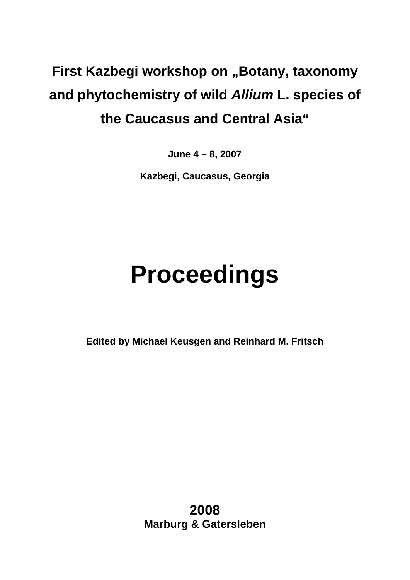# **First Kazbegi workshop on "Botany, taxonomy and phytochemistry of wild** *Allium* **L. species of the Caucasus and Central Asia"**

**June 4 – 8, 2007** 

**Kazbegi, Caucasus, Georgia** 

# **Proceedings**

**Edited by Michael Keusgen and Reinhard M. Fritsch** 

**2008 Marburg & Gatersleben**